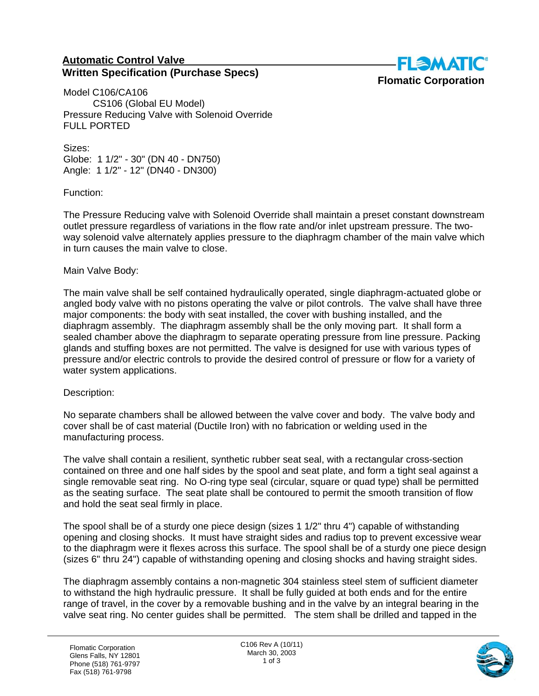## **Automatic Control Valve Written Specification (Purchase Specs)**



Model C106/CA106 CS106 (Global EU Model) Pressure Reducing Valve with Solenoid Override FULL PORTED

Sizes: Globe: 1 1/2" - 30" (DN 40 - DN750) Angle: 1 1/2" - 12" (DN40 - DN300)

Function:

The Pressure Reducing valve with Solenoid Override shall maintain a preset constant downstream outlet pressure regardless of variations in the flow rate and/or inlet upstream pressure. The twoway solenoid valve alternately applies pressure to the diaphragm chamber of the main valve which in turn causes the main valve to close.

## Main Valve Body:

The main valve shall be self contained hydraulically operated, single diaphragm-actuated globe or angled body valve with no pistons operating the valve or pilot controls. The valve shall have three major components: the body with seat installed, the cover with bushing installed, and the diaphragm assembly. The diaphragm assembly shall be the only moving part. It shall form a sealed chamber above the diaphragm to separate operating pressure from line pressure. Packing glands and stuffing boxes are not permitted. The valve is designed for use with various types of pressure and/or electric controls to provide the desired control of pressure or flow for a variety of water system applications.

## Description:

No separate chambers shall be allowed between the valve cover and body. The valve body and cover shall be of cast material (Ductile Iron) with no fabrication or welding used in the manufacturing process.

The valve shall contain a resilient, synthetic rubber seat seal, with a rectangular cross-section contained on three and one half sides by the spool and seat plate, and form a tight seal against a single removable seat ring. No O-ring type seal (circular, square or quad type) shall be permitted as the seating surface. The seat plate shall be contoured to permit the smooth transition of flow and hold the seat seal firmly in place.

The spool shall be of a sturdy one piece design (sizes 1 1/2" thru 4") capable of withstanding opening and closing shocks. It must have straight sides and radius top to prevent excessive wear to the diaphragm were it flexes across this surface. The spool shall be of a sturdy one piece design (sizes 6" thru 24") capable of withstanding opening and closing shocks and having straight sides.

The diaphragm assembly contains a non-magnetic 304 stainless steel stem of sufficient diameter to withstand the high hydraulic pressure. It shall be fully guided at both ends and for the entire range of travel, in the cover by a removable bushing and in the valve by an integral bearing in the valve seat ring. No center guides shall be permitted. The stem shall be drilled and tapped in the

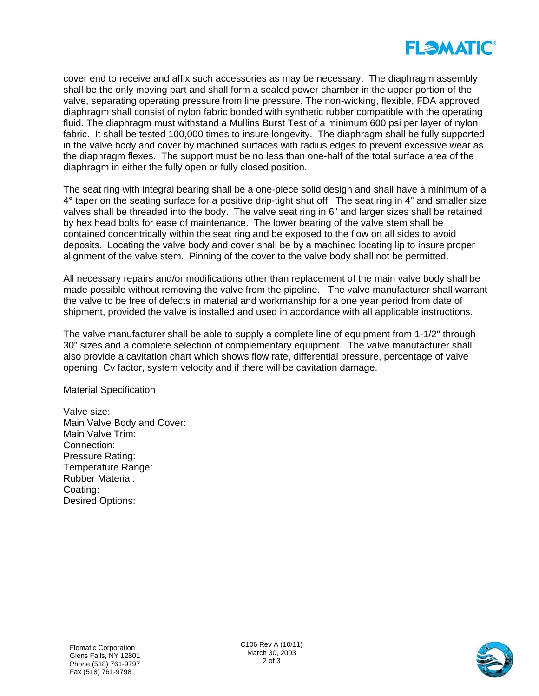

cover end to receive and affix such accessories as may be necessary. The diaphragm assembly shall be the only moving part and shall form a sealed power chamber in the upper portion of the valve, separating operating pressure from line pressure. The non-wicking, flexible, FDA approved diaphragm shall consist of nylon fabric bonded with synthetic rubber compatible with the operating fluid. The diaphragm must withstand a Mullins Burst Test of a minimum 600 psi per layer of nylon fabric. It shall be tested 100,000 times to insure longevity. The diaphragm shall be fully supported in the valve body and cover by machined surfaces with radius edges to prevent excessive wear as the diaphragm flexes. The support must be no less than one-half of the total surface area of the diaphragm in either the fully open or fully closed position.

The seat ring with integral bearing shall be a one-piece solid design and shall have a minimum of a 4° taper on the seating surface for a positive drip-tight shut off. The seat ring in 4" and smaller size valves shall be threaded into the body. The valve seat ring in 6" and larger sizes shall be retained by hex head bolts for ease of maintenance. The lower bearing of the valve stem shall be contained concentrically within the seat ring and be exposed to the flow on all sides to avoid deposits. Locating the valve body and cover shall be by a machined locating lip to insure proper alignment of the valve stem. Pinning of the cover to the valve body shall not be permitted.

All necessary repairs and/or modifications other than replacement of the main valve body shall be made possible without removing the valve from the pipeline. The valve manufacturer shall warrant the valve to be free of defects in material and workmanship for a one year period from date of shipment, provided the valve is installed and used in accordance with all applicable instructions.

The valve manufacturer shall be able to supply a complete line of equipment from 1-1/2" through 30" sizes and a complete selection of complementary equipment. The valve manufacturer shall also provide a cavitation chart which shows flow rate, differential pressure, percentage of valve opening, Cv factor, system velocity and if there will be cavitation damage.

Material Specification

Valve size: Main Valve Body and Cover: Main Valve Trim: Connection: Pressure Rating: Temperature Range: Rubber Material: Coating: Desired Options: